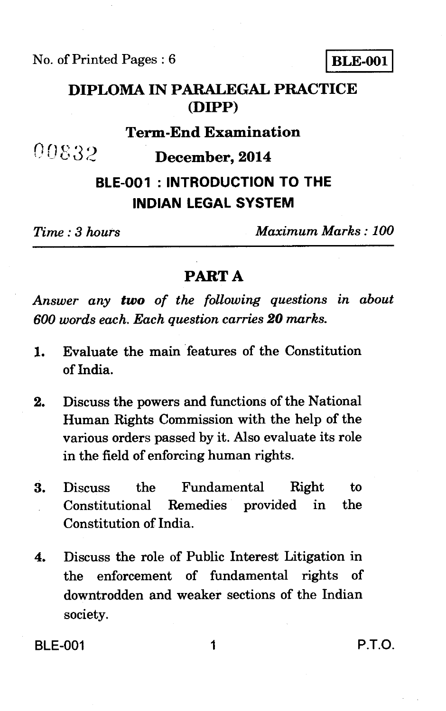No. of Printed Pages :  $6$  BLE-001

**DIPLOMA IN PARALEGAL PRACTICE (DIPP)** 

## **Term-End Examination**

00832 **December, 2014** 

# **BLE-001 : INTRODUCTION TO THE INDIAN LEGAL SYSTEM**

*Time : 3 hours Maximum Marks : 100* 

### **PART A**

*Answer any two of the following questions in about 600 words each. Each question carries 20 marks.* 

- 1. Evaluate the main features of the Constitution of India.
- 2. Discuss the powers and functions of the National Human Rights Commission with the help of the various orders passed by it. Also evaluate its role in the field of enforcing human rights.
- 3. Discuss the Fundamental Right to Constitutional Remedies provided in the Constitution of India.
- 4. Discuss the role of Public Interest Litigation in the enforcement of fundamental rights of downtrodden and weaker sections of the Indian society.

BLE-001 1 P.T.O.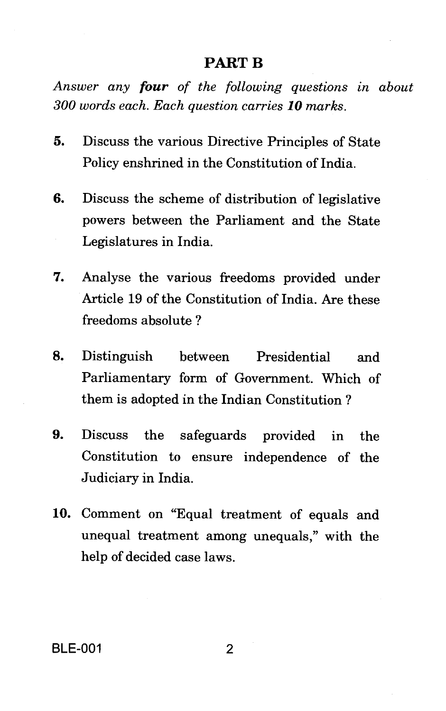## **PART B**

*Answer any four of the following questions in about 300 words each. Each question carries 10 marks.* 

- 5. Discuss the various Directive Principles of State Policy enshrined in the Constitution of India.
- 6. Discuss the scheme of distribution of legislative powers between the Parliament and the State Legislatures in India.
- 7. Analyse the various freedoms provided under Article 19 of the Constitution of India. Are these freedoms absolute ?
- 8. Distinguish between Presidential and Parliamentary form of Government. Which of them is adopted in the Indian Constitution ?
- 9. Discuss the safeguards provided in the Constitution to ensure independence of the Judiciary in India.
- 10. Comment on "Equal treatment of equals and unequal treatment among unequals," with the help of decided case laws.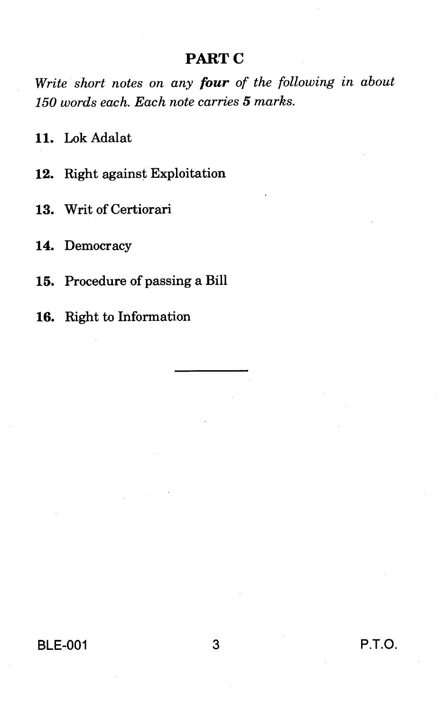## **PART C**

*Write short notes on any four of the following in about 150 words each. Each note carries 5 marks.* 

11. Lok Adalat

12. Right against Exploitation

13. Writ of Certiorari

14. Democracy

15. Procedure of passing a Bill

16. Right to Information

BLE-001 3 P.T.O.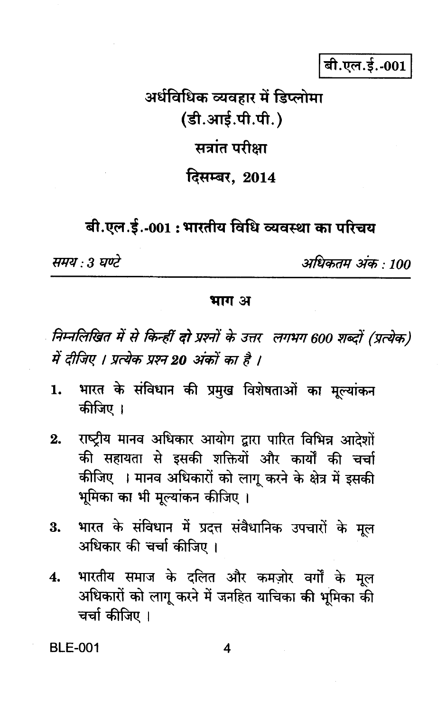# बी.एल.ई.-001

# अर्धविधिक व्यवहार में डिप्लोमा (डी.आई.पी.पी.) सत्रांत परीक्षा दिसम्बर. 2014

## बी.एल.ई.-001 : भारतीय विधि व्यवस्था का परिचय

समय : 3 घण्टे

अधिकतम अंक : 100

### भाग अ

निम्नलिखित में से किन्हीं दो प्रश्नों के उत्तर लगभग 600 शब्दों (प्रत्येक) में दीजिए । प्रत्येक प्रश्न 20 अंकों का है ।

- भारत के संविधान की प्रमुख विशेषताओं का मुल्यांकन 1. कीजिए ।
- राष्ट्रीय मानव अधिकार आयोग द्वारा पारित विभिन्न आदेशों  $2.$ की सहायता से इसकी शक्तियों और कार्यों की चर्चा कीजिए । मानव अधिकारों को लागू करने के क्षेत्र में इसकी भूमिका का भी मूल्यांकन कीजिए ।
- भारत के संविधान में प्रदत्त संवैधानिक उपचारों के मुल 3. अधिकार की चर्चा कीजिए ।
- भारतीय समाज के दलित और कमज़ोर वर्गों के मूल  $\overline{4}$ . अधिकारों को लागू करने में जनहित याचिका की भूमिका की चर्चा कीजिए ।

**BLE-001**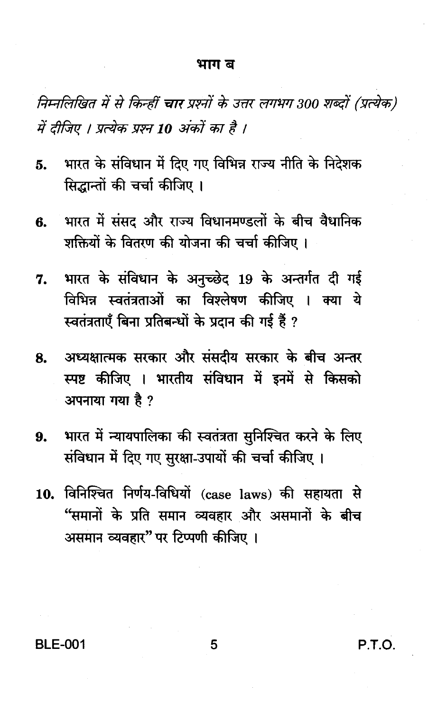#### भाग ब

निम्नलिखित में से किन्हीं चार प्रश्नों के उत्तर लगभग 300 शब्दों (प्रत्येक) में दीजिए । प्रत्येक प्रश्न 10 अंकों का है ।

- भारत के संविधान में दिए गए विभिन्न राज्य नीति के निदेशक 5. सिद्धान्तों की चर्चा कीजिए ।
- भारत में संसद और राज्य विधानमण्डलों के बीच वैधानिक В. शक्तियों के वितरण की योजना की चर्चा कीजिए।
- भारत के संविधान के अनुच्छेद 19 के अन्तर्गत दी गई 7. विभिन्न स्वतंत्रताओं का विश्लेषण कीजिए । क्या ये स्वतंत्रताएँ बिना प्रतिबन्धों के प्रदान की गई हैं ?
- अध्यक्षात्मक सरकार और संसदीय सरकार के बीच अन्तर 8. स्पष्ट कीजिए । भारतीय संविधान में इनमें से किसको अपनाया गया है ?
- भारत में न्यायपालिका की स्वतंत्रता सुनिश्चित करने के लिए 9. संविधान में दिए गए सुरक्षा-उपायों की चर्चा कीजिए।
- 10. विनिश्चित निर्णय-विधियों (case laws) की सहायता से "समानों के प्रति समान व्यवहार और असमानों के बीच असमान व्यवहार" पर टिप्पणी कीजिए ।